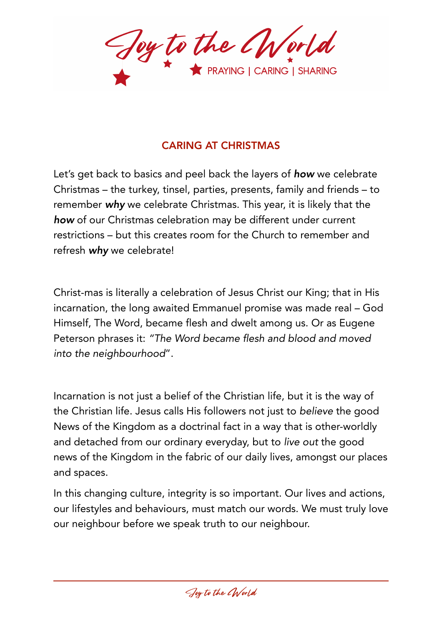Joy to the CWorld

## CARING AT CHRISTMAS

Let's get back to basics and peel back the layers of *how* we celebrate Christmas – the turkey, tinsel, parties, presents, family and friends – to remember *why* we celebrate Christmas. This year, it is likely that the *how* of our Christmas celebration may be different under current restrictions – but this creates room for the Church to remember and refresh *why* we celebrate!

Christ-mas is literally a celebration of Jesus Christ our King; that in His incarnation, the long awaited Emmanuel promise was made real – God Himself, The Word, became flesh and dwelt among us. Or as Eugene Peterson phrases it: *"The Word became flesh and blood and moved into the neighbourhood*".

Incarnation is not just a belief of the Christian life, but it is the way of the Christian life. Jesus calls His followers not just to *believe* the good News of the Kingdom as a doctrinal fact in a way that is other-worldly and detached from our ordinary everyday, but to *live out* the good news of the Kingdom in the fabric of our daily lives, amongst our places and spaces.

In this changing culture, integrity is so important. Our lives and actions, our lifestyles and behaviours, must match our words. We must truly love our neighbour before we speak truth to our neighbour.

Joy to the CWorld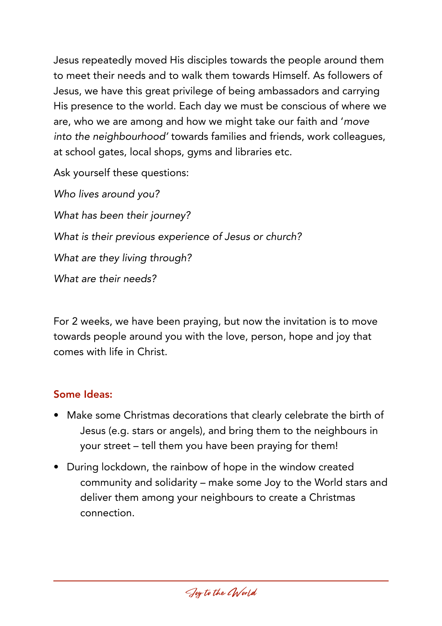Jesus repeatedly moved His disciples towards the people around them to meet their needs and to walk them towards Himself. As followers of Jesus, we have this great privilege of being ambassadors and carrying His presence to the world. Each day we must be conscious of where we are, who we are among and how we might take our faith and '*move into the neighbourhood'* towards families and friends, work colleagues, at school gates, local shops, gyms and libraries etc.

Ask yourself these questions:

*Who lives around you? What has been their journey? What is their previous experience of Jesus or church? What are they living through? What are their needs?* 

For 2 weeks, we have been praying, but now the invitation is to move towards people around you with the love, person, hope and joy that comes with life in Christ.

## Some Ideas:

- Make some Christmas decorations that clearly celebrate the birth of Jesus (e.g. stars or angels), and bring them to the neighbours in your street – tell them you have been praying for them!
- During lockdown, the rainbow of hope in the window created community and solidarity – make some Joy to the World stars and deliver them among your neighbours to create a Christmas connection.

Joy to the CWorld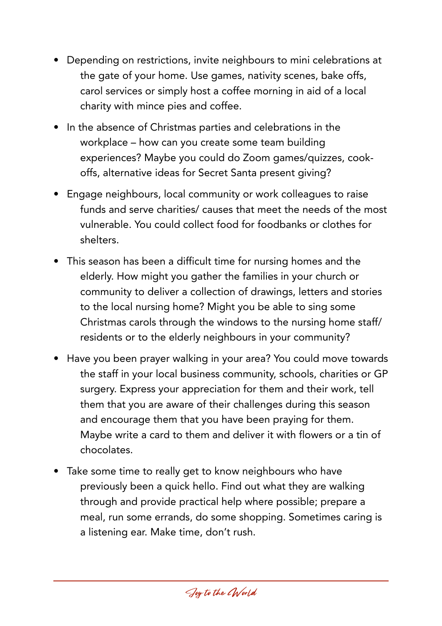- Depending on restrictions, invite neighbours to mini celebrations at the gate of your home. Use games, nativity scenes, bake offs, carol services or simply host a coffee morning in aid of a local charity with mince pies and coffee.
- In the absence of Christmas parties and celebrations in the workplace – how can you create some team building experiences? Maybe you could do Zoom games/quizzes, cookoffs, alternative ideas for Secret Santa present giving?
- Engage neighbours, local community or work colleagues to raise funds and serve charities/ causes that meet the needs of the most vulnerable. You could collect food for foodbanks or clothes for shelters.
- This season has been a difficult time for nursing homes and the elderly. How might you gather the families in your church or community to deliver a collection of drawings, letters and stories to the local nursing home? Might you be able to sing some Christmas carols through the windows to the nursing home staff/ residents or to the elderly neighbours in your community?
- Have you been prayer walking in your area? You could move towards the staff in your local business community, schools, charities or GP surgery. Express your appreciation for them and their work, tell them that you are aware of their challenges during this season and encourage them that you have been praying for them. Maybe write a card to them and deliver it with flowers or a tin of chocolates.
- Take some time to really get to know neighbours who have previously been a quick hello. Find out what they are walking through and provide practical help where possible; prepare a meal, run some errands, do some shopping. Sometimes caring is a listening ear. Make time, don't rush.

Joy to the CWorld